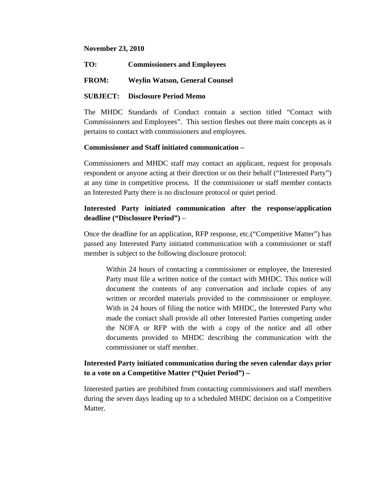#### **November 23, 2010**

**TO: Commissioners and Employees** 

## **FROM: Weylin Watson, General Counsel**

## **SUBJECT: Disclosure Period Memo**

The MHDC Standards of Conduct contain a section titled "Contact with Commissioners and Employees". This section fleshes out three main concepts as it pertains to contact with commissioners and employees.

## **Commissioner and Staff initiated communication –**

Commissioners and MHDC staff may contact an applicant, request for proposals respondent or anyone acting at their direction or on their behalf ("Interested Party") at any time in competitive process. If the commissioner or staff member contacts an Interested Party there is no disclosure protocol or quiet period.

# **Interested Party initiated communication after the response/application deadline ("Disclosure Period")** –

Once the deadline for an application, RFP response, etc.("Competitive Matter") has passed any Interested Party initiated communication with a commissioner or staff member is subject to the following disclosure protocol:

Within 24 hours of contacting a commissioner or employee, the Interested Party must file a written notice of the contact with MHDC. This notice will document the contents of any conversation and include copies of any written or recorded materials provided to the commissioner or employee. With in 24 hours of filing the notice with MHDC, the Interested Party who made the contact shall provide all other Interested Parties competing under the NOFA or RFP with the with a copy of the notice and all other documents provided to MHDC describing the communication with the commissioner or staff member.

# **Interested Party initiated communication during the seven calendar days prior to a vote on a Competitive Matter ("Quiet Period") –**

Interested parties are prohibited from contacting commissioners and staff members during the seven days leading up to a scheduled MHDC decision on a Competitive Matter.